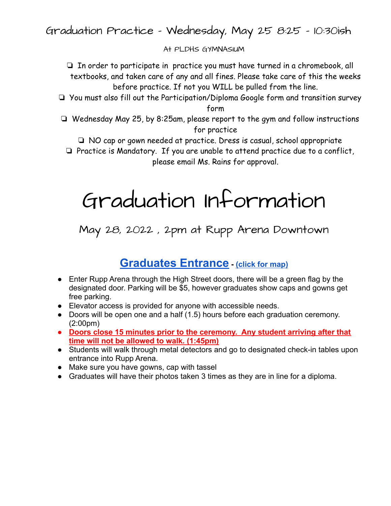Graduation Practice - Wednesday, May 25 8:25 - 10:30ish

## At PLDHS GYMNASIUM

❏ In order to participate in practice you must have turned in a chromebook, all textbooks, and taken care of any and all fines. Please take care of this the weeks before practice. If not you WILL be pulled from the line.

- ❏ You must also fill out the Participation/Diploma Google form and transition survey form
- ❏ Wednesday May 25, by 8:25am, please report to the gym and follow instructions for practice

❏ NO cap or gown needed at practice. Dress is casual, school appropriate

❏ Practice is Mandatory. If you are unable to attend practice due to a conflict, please email Ms. Rains for approval.

## Graduation Information

May 28, 2022 , 2pm at Rupp Arena Downtown

## **[Graduates Entrance](https://drive.google.com/file/d/12Ru-YOu68HwxPUi_BWdC1P7_kR-vcVQm/view?usp=sharing) - [\(click for map\)](https://outlook.office.com/mail/id/AAQkADllMWE1M2ZkLWE0N2QtNGU5NC1iODQ0LTQzOGE5YTA5OTkxYwAQAKR0h8DSBEW7hpo0yPs40mM%3D/sxs/AAMkADllMWE1M2ZkLWE0N2QtNGU5NC1iODQ0LTQzOGE5YTA5OTkxYwBGAAAAAAAOFnsF6JJjQ6j8EfSl6KcVBwBitFs2rotpT590ADOAy8d7AAAAAAEMAABitFs2rotpT590ADOAy8d7AAMSBVOzAAABEgAQAFyKiau66qhHgV827Hh56oY%3D)**

- Enter Rupp Arena through the High Street doors, there will be a green flag by the designated door. Parking will be \$5, however graduates show caps and gowns get free parking.
- Elevator access is provided for anyone with accessible needs.
- Doors will be open one and a half (1.5) hours before each graduation ceremony. (2:00pm)
- **● Doors close 15 minutes prior to the ceremony. Any student arriving after that time will not be allowed to walk. (1:45pm)**
- Students will walk through metal detectors and go to designated check-in tables upon entrance into Rupp Arena.
- Make sure you have gowns, cap with tassel
- Graduates will have their photos taken 3 times as they are in line for a diploma.